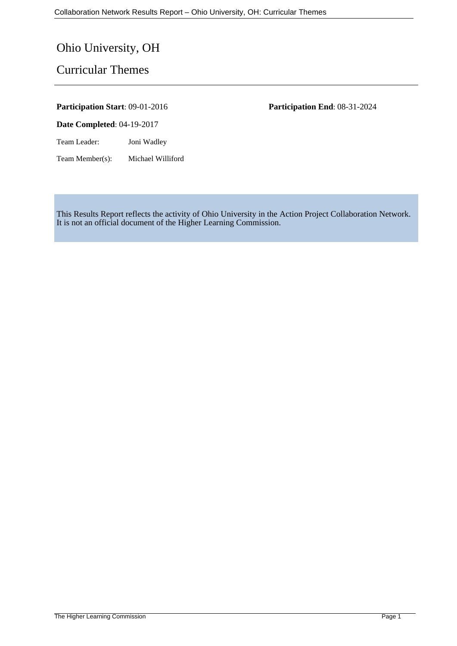# Ohio University, OH

# Curricular Themes

#### **Participation Start**: 09-01-2016 **Participation End**: 08-31-2024

**Date Completed**: 04-19-2017

Team Leader: Joni Wadley

Team Member(s): Michael Williford

This Results Report reflects the activity of Ohio University in the Action Project Collaboration Network. It is not an official document of the Higher Learning Commission.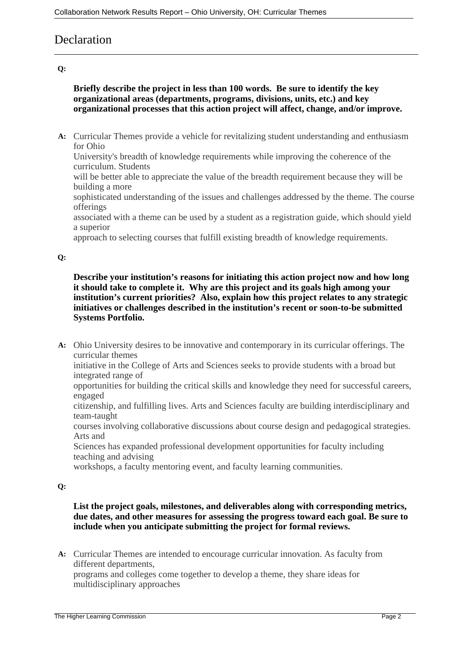# **Declaration**

## **Q:**

# **Briefly describe the project in less than 100 words. Be sure to identify the key organizational areas (departments, programs, divisions, units, etc.) and key organizational processes that this action project will affect, change, and/or improve.**

**A:** Curricular Themes provide a vehicle for revitalizing student understanding and enthusiasm for Ohio

University's breadth of knowledge requirements while improving the coherence of the curriculum. Students

will be better able to appreciate the value of the breadth requirement because they will be building a more

sophisticated understanding of the issues and challenges addressed by the theme. The course offerings

associated with a theme can be used by a student as a registration guide, which should yield a superior

approach to selecting courses that fulfill existing breadth of knowledge requirements.

### **Q:**

**Describe your institution's reasons for initiating this action project now and how long it should take to complete it. Why are this project and its goals high among your institution's current priorities? Also, explain how this project relates to any strategic initiatives or challenges described in the institution's recent or soon-to-be submitted Systems Portfolio.**

**A:** Ohio University desires to be innovative and contemporary in its curricular offerings. The curricular themes

initiative in the College of Arts and Sciences seeks to provide students with a broad but integrated range of

opportunities for building the critical skills and knowledge they need for successful careers, engaged

citizenship, and fulfilling lives. Arts and Sciences faculty are building interdisciplinary and team-taught

courses involving collaborative discussions about course design and pedagogical strategies. Arts and

Sciences has expanded professional development opportunities for faculty including teaching and advising

workshops, a faculty mentoring event, and faculty learning communities.

### **Q:**

# **List the project goals, milestones, and deliverables along with corresponding metrics, due dates, and other measures for assessing the progress toward each goal. Be sure to include when you anticipate submitting the project for formal reviews.**

**A:** Curricular Themes are intended to encourage curricular innovation. As faculty from different departments,

programs and colleges come together to develop a theme, they share ideas for multidisciplinary approaches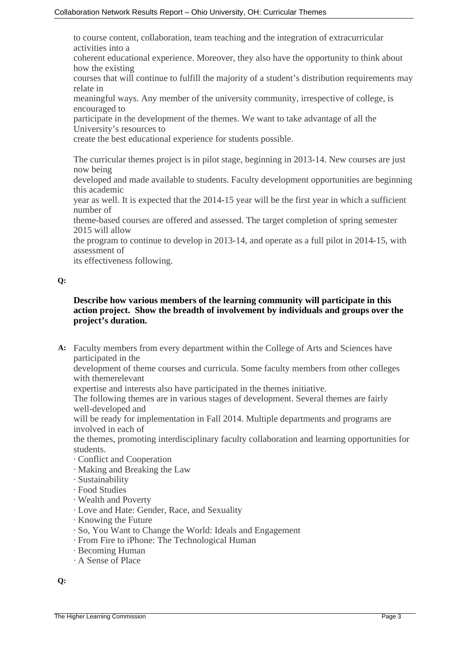to course content, collaboration, team teaching and the integration of extracurricular activities into a

coherent educational experience. Moreover, they also have the opportunity to think about how the existing

courses that will continue to fulfill the majority of a student's distribution requirements may relate in

meaningful ways. Any member of the university community, irrespective of college, is encouraged to

participate in the development of the themes. We want to take advantage of all the University's resources to

create the best educational experience for students possible.

The curricular themes project is in pilot stage, beginning in 2013-14. New courses are just now being

developed and made available to students. Faculty development opportunities are beginning this academic

year as well. It is expected that the 2014-15 year will be the first year in which a sufficient number of

theme-based courses are offered and assessed. The target completion of spring semester 2015 will allow

the program to continue to develop in 2013-14, and operate as a full pilot in 2014-15, with assessment of

its effectiveness following.

### **Q:**

# **Describe how various members of the learning community will participate in this action project. Show the breadth of involvement by individuals and groups over the project's duration.**

**A:** Faculty members from every department within the College of Arts and Sciences have participated in the

development of theme courses and curricula. Some faculty members from other colleges with themerelevant

expertise and interests also have participated in the themes initiative.

The following themes are in various stages of development. Several themes are fairly well-developed and

will be ready for implementation in Fall 2014. Multiple departments and programs are involved in each of

the themes, promoting interdisciplinary faculty collaboration and learning opportunities for students.

- · Conflict and Cooperation
- · Making and Breaking the Law
- · Sustainability
- · Food Studies
- · Wealth and Poverty
- · Love and Hate: Gender, Race, and Sexuality
- · Knowing the Future
- · So, You Want to Change the World: Ideals and Engagement
- · From Fire to iPhone: The Technological Human
- · Becoming Human
- · A Sense of Place

**Q:**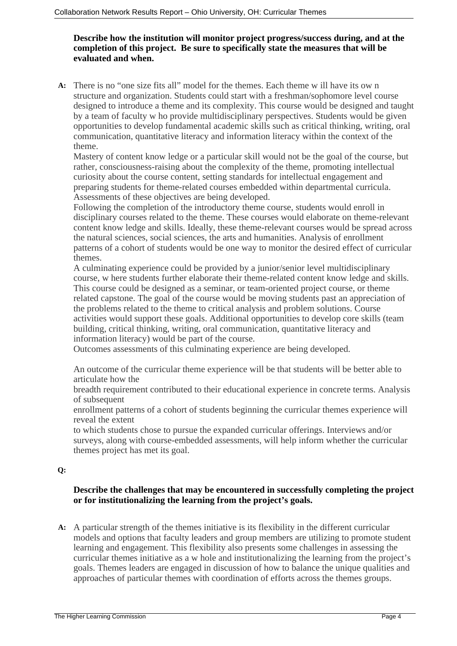# **Describe how the institution will monitor project progress/success during, and at the completion of this project. Be sure to specifically state the measures that will be evaluated and when.**

**A:** There is no "one size fits all" model for the themes. Each theme w ill have its ow n structure and organization. Students could start with a freshman/sophomore level course designed to introduce a theme and its complexity. This course would be designed and taught by a team of faculty w ho provide multidisciplinary perspectives. Students would be given opportunities to develop fundamental academic skills such as critical thinking, writing, oral communication, quantitative literacy and information literacy within the context of the theme.

Mastery of content know ledge or a particular skill would not be the goal of the course, but rather, consciousness-raising about the complexity of the theme, promoting intellectual curiosity about the course content, setting standards for intellectual engagement and preparing students for theme-related courses embedded within departmental curricula. Assessments of these objectives are being developed.

Following the completion of the introductory theme course, students would enroll in disciplinary courses related to the theme. These courses would elaborate on theme-relevant content know ledge and skills. Ideally, these theme-relevant courses would be spread across the natural sciences, social sciences, the arts and humanities. Analysis of enrollment patterns of a cohort of students would be one way to monitor the desired effect of curricular themes.

A culminating experience could be provided by a junior/senior level multidisciplinary course, w here students further elaborate their theme-related content know ledge and skills. This course could be designed as a seminar, or team-oriented project course, or theme related capstone. The goal of the course would be moving students past an appreciation of the problems related to the theme to critical analysis and problem solutions. Course activities would support these goals. Additional opportunities to develop core skills (team building, critical thinking, writing, oral communication, quantitative literacy and information literacy) would be part of the course.

Outcomes assessments of this culminating experience are being developed.

An outcome of the curricular theme experience will be that students will be better able to articulate how the

breadth requirement contributed to their educational experience in concrete terms. Analysis of subsequent

enrollment patterns of a cohort of students beginning the curricular themes experience will reveal the extent

to which students chose to pursue the expanded curricular offerings. Interviews and/or surveys, along with course-embedded assessments, will help inform whether the curricular themes project has met its goal.

### **Q:**

# **Describe the challenges that may be encountered in successfully completing the project or for institutionalizing the learning from the project's goals.**

**A:** A particular strength of the themes initiative is its flexibility in the different curricular models and options that faculty leaders and group members are utilizing to promote student learning and engagement. This flexibility also presents some challenges in assessing the curricular themes initiative as a w hole and institutionalizing the learning from the project's goals. Themes leaders are engaged in discussion of how to balance the unique qualities and approaches of particular themes with coordination of efforts across the themes groups.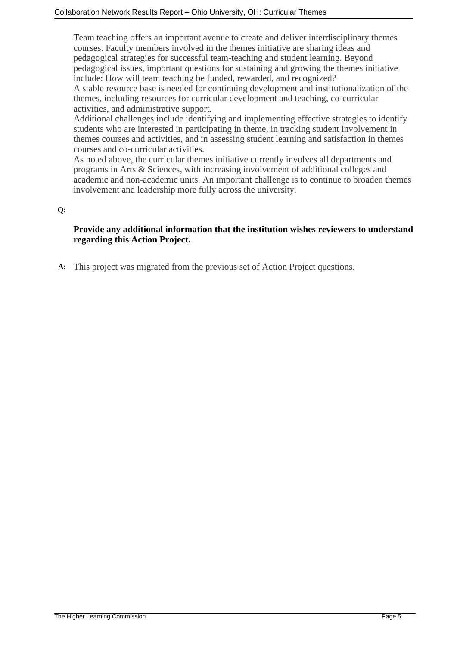Team teaching offers an important avenue to create and deliver interdisciplinary themes courses. Faculty members involved in the themes initiative are sharing ideas and pedagogical strategies for successful team-teaching and student learning. Beyond pedagogical issues, important questions for sustaining and growing the themes initiative include: How will team teaching be funded, rewarded, and recognized? A stable resource base is needed for continuing development and institutionalization of the themes, including resources for curricular development and teaching, co-curricular

activities, and administrative support.

Additional challenges include identifying and implementing effective strategies to identify students who are interested in participating in theme, in tracking student involvement in themes courses and activities, and in assessing student learning and satisfaction in themes courses and co-curricular activities.

As noted above, the curricular themes initiative currently involves all departments and programs in Arts & Sciences, with increasing involvement of additional colleges and academic and non-academic units. An important challenge is to continue to broaden themes involvement and leadership more fully across the university.

# **Q:**

# **Provide any additional information that the institution wishes reviewers to understand regarding this Action Project.**

**A:** This project was migrated from the previous set of Action Project questions.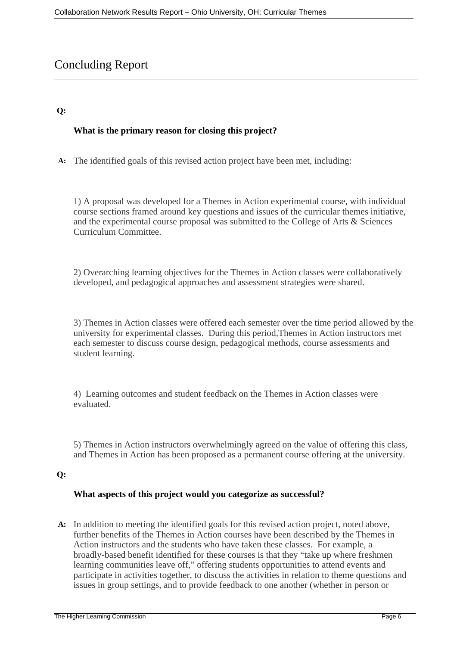# Concluding Report

# **Q:**

# **What is the primary reason for closing this project?**

**A:** The identified goals of this revised action project have been met, including:

1) A proposal was developed for a Themes in Action experimental course, with individual course sections framed around key questions and issues of the curricular themes initiative, and the experimental course proposal was submitted to the College of Arts & Sciences Curriculum Committee.

2) Overarching learning objectives for the Themes in Action classes were collaboratively developed, and pedagogical approaches and assessment strategies were shared.

3) Themes in Action classes were offered each semester over the time period allowed by the university for experimental classes. During this period,Themes in Action instructors met each semester to discuss course design, pedagogical methods, course assessments and student learning.

4) Learning outcomes and student feedback on the Themes in Action classes were evaluated.

5) Themes in Action instructors overwhelmingly agreed on the value of offering this class, and Themes in Action has been proposed as a permanent course offering at the university.

# **Q:**

### **What aspects of this project would you categorize as successful?**

**A:** In addition to meeting the identified goals for this revised action project, noted above, further benefits of the Themes in Action courses have been described by the Themes in Action instructors and the students who have taken these classes. For example, a broadly-based benefit identified for these courses is that they "take up where freshmen learning communities leave off," offering students opportunities to attend events and participate in activities together, to discuss the activities in relation to theme questions and issues in group settings, and to provide feedback to one another (whether in person or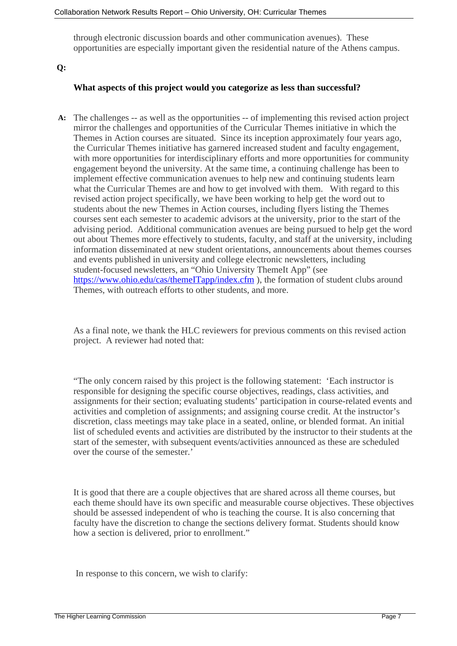through electronic discussion boards and other communication avenues). These opportunities are especially important given the residential nature of the Athens campus.

#### **Q:**

#### **What aspects of this project would you categorize as less than successful?**

**A:** The challenges -- as well as the opportunities -- of implementing this revised action project mirror the challenges and opportunities of the Curricular Themes initiative in which the Themes in Action courses are situated. Since its inception approximately four years ago, the Curricular Themes initiative has garnered increased student and faculty engagement, with more opportunities for interdisciplinary efforts and more opportunities for community engagement beyond the university. At the same time, a continuing challenge has been to implement effective communication avenues to help new and continuing students learn what the Curricular Themes are and how to get involved with them. With regard to this revised action project specifically, we have been working to help get the word out to students about the new Themes in Action courses, including flyers listing the Themes courses sent each semester to academic advisors at the university, prior to the start of the advising period. Additional communication avenues are being pursued to help get the word out about Themes more effectively to students, faculty, and staff at the university, including information disseminated at new student orientations, announcements about themes courses and events published in university and college electronic newsletters, including student-focused newsletters, an "Ohio University ThemeIt App" (see <https://www.ohio.edu/cas/themeITapp/index.cfm>), the formation of student clubs around Themes, with outreach efforts to other students, and more.

As a final note, we thank the HLC reviewers for previous comments on this revised action project. A reviewer had noted that:

"The only concern raised by this project is the following statement: 'Each instructor is responsible for designing the specific course objectives, readings, class activities, and assignments for their section; evaluating students' participation in course-related events and activities and completion of assignments; and assigning course credit. At the instructor's discretion, class meetings may take place in a seated, online, or blended format. An initial list of scheduled events and activities are distributed by the instructor to their students at the start of the semester, with subsequent events/activities announced as these are scheduled over the course of the semester.'

It is good that there are a couple objectives that are shared across all theme courses, but each theme should have its own specific and measurable course objectives. These objectives should be assessed independent of who is teaching the course. It is also concerning that faculty have the discretion to change the sections delivery format. Students should know how a section is delivered, prior to enrollment."

In response to this concern, we wish to clarify: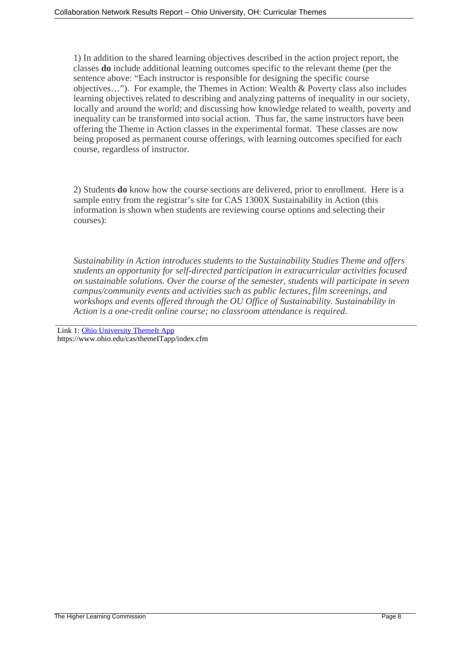1) In addition to the shared learning objectives described in the action project report, the classes **do** include additional learning outcomes specific to the relevant theme (per the sentence above: "Each instructor is responsible for designing the specific course objectives…"). For example, the Themes in Action: Wealth & Poverty class also includes learning objectives related to describing and analyzing patterns of inequality in our society, locally and around the world; and discussing how knowledge related to wealth, poverty and inequality can be transformed into social action. Thus far, the same instructors have been offering the Theme in Action classes in the experimental format. These classes are now being proposed as permanent course offerings, with learning outcomes specified for each course, regardless of instructor.

2) Students **do** know how the course sections are delivered, prior to enrollment. Here is a sample entry from the registrar's site for CAS 1300X Sustainability in Action (this information is shown when students are reviewing course options and selecting their courses):

*Sustainability in Action introduces students to the Sustainability Studies Theme and offers students an opportunity for self-directed participation in extracurricular activities focused on sustainable solutions. Over the course of the semester, students will participate in seven campus/community events and activities such as public lectures, film screenings, and workshops and events offered through the OU Office of Sustainability. Sustainability in Action is a one-credit online course; no classroom attendance is required.* 

Link 1: [Ohio University ThemeIt App](https://www.ohio.edu/cas/themeITapp/index.cfm) https://www.ohio.edu/cas/themeITapp/index.cfm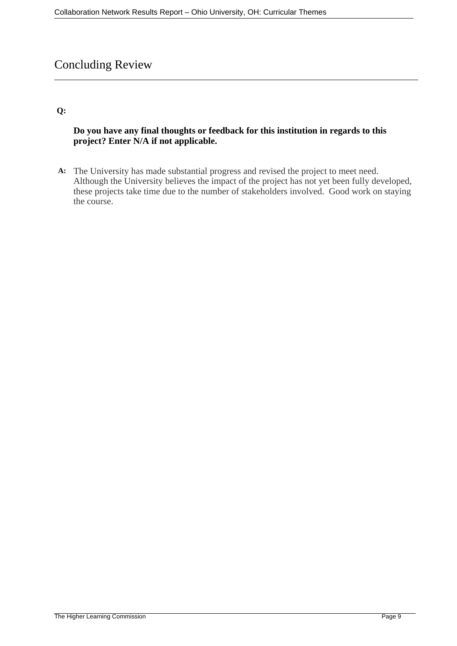# Concluding Review

# **Q:**

# **Do you have any final thoughts or feedback for this institution in regards to this project? Enter N/A if not applicable.**

**A:** The University has made substantial progress and revised the project to meet need. Although the University believes the impact of the project has not yet been fully developed, these projects take time due to the number of stakeholders involved. Good work on staying the course.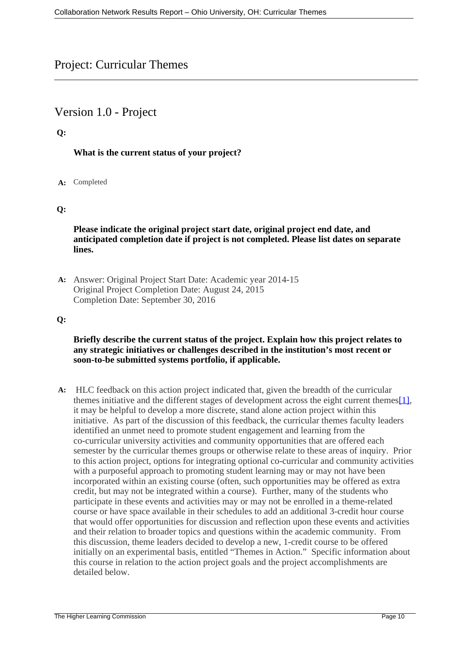# <span id="page-9-0"></span>Project: Curricular Themes

# Version 1.0 - Project

# **Q:**

# **What is the current status of your project?**

### **A:** Completed

# **Q:**

**Please indicate the original project start date, original project end date, and anticipated completion date if project is not completed. Please list dates on separate lines.**

**A:** Answer: Original Project Start Date: Academic year 2014-15 Original Project Completion Date: August 24, 2015 Completion Date: September 30, 2016

### **Q:**

### **Briefly describe the current status of the project. Explain how this project relates to any strategic initiatives or challenges described in the institution's most recent or soon-to-be submitted systems portfolio, if applicable.**

**A:** HLC feedback on this action project indicated that, given the breadth of the curricular themes initiative and the different stages of development across the eight current themes[\[1\],](#page-9-0) it may be helpful to develop a more discrete, stand alone action project within this initiative. As part of the discussion of this feedback, the curricular themes faculty leaders identified an unmet need to promote student engagement and learning from the co-curricular university activities and community opportunities that are offered each semester by the curricular themes groups or otherwise relate to these areas of inquiry. Prior to this action project, options for integrating optional co-curricular and community activities with a purposeful approach to promoting student learning may or may not have been incorporated within an existing course (often, such opportunities may be offered as extra credit, but may not be integrated within a course). Further, many of the students who participate in these events and activities may or may not be enrolled in a theme-related course or have space available in their schedules to add an additional 3-credit hour course that would offer opportunities for discussion and reflection upon these events and activities and their relation to broader topics and questions within the academic community. From this discussion, theme leaders decided to develop a new, 1-credit course to be offered initially on an experimental basis, entitled "Themes in Action." Specific information about this course in relation to the action project goals and the project accomplishments are detailed below.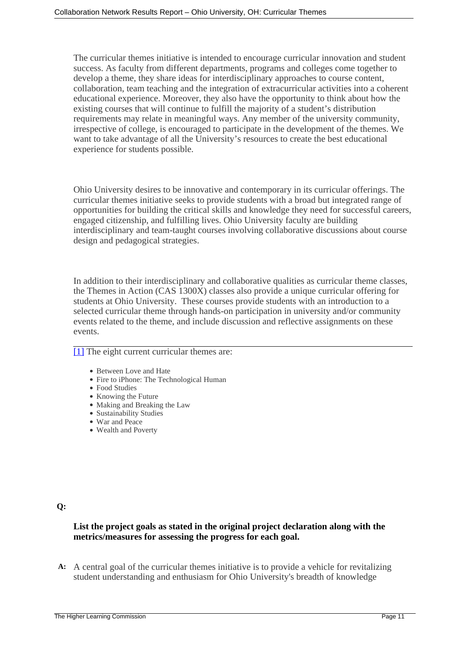<span id="page-10-0"></span>The curricular themes initiative is intended to encourage curricular innovation and student success. As faculty from different departments, programs and colleges come together to develop a theme, they share ideas for interdisciplinary approaches to course content, collaboration, team teaching and the integration of extracurricular activities into a coherent educational experience. Moreover, they also have the opportunity to think about how the existing courses that will continue to fulfill the majority of a student's distribution requirements may relate in meaningful ways. Any member of the university community, irrespective of college, is encouraged to participate in the development of the themes. We want to take advantage of all the University's resources to create the best educational experience for students possible.

Ohio University desires to be innovative and contemporary in its curricular offerings. The curricular themes initiative seeks to provide students with a broad but integrated range of opportunities for building the critical skills and knowledge they need for successful careers, engaged citizenship, and fulfilling lives. Ohio University faculty are building interdisciplinary and team-taught courses involving collaborative discussions about course design and pedagogical strategies.

In addition to their interdisciplinary and collaborative qualities as curricular theme classes, the Themes in Action (CAS 1300X) classes also provide a unique curricular offering for students at Ohio University. These courses provide students with an introduction to a selected curricular theme through hands-on participation in university and/or community events related to the theme, and include discussion and reflective assignments on these events.

[\[1\]](#page-10-0) The eight current curricular themes are:

- Between Love and Hate
- Fire to iPhone: The Technological Human
- Food Studies
- Knowing the Future
- Making and Breaking the Law
- Sustainability Studies
- War and Peace
- Wealth and Poverty

### **Q:**

# **List the project goals as stated in the original project declaration along with the metrics/measures for assessing the progress for each goal.**

**A:** A central goal of the curricular themes initiative is to provide a vehicle for revitalizing student understanding and enthusiasm for Ohio University's breadth of knowledge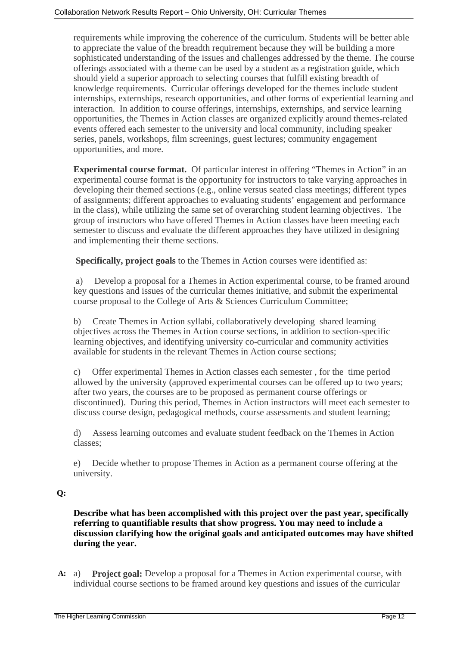requirements while improving the coherence of the curriculum. Students will be better able to appreciate the value of the breadth requirement because they will be building a more sophisticated understanding of the issues and challenges addressed by the theme. The course offerings associated with a theme can be used by a student as a registration guide, which should yield a superior approach to selecting courses that fulfill existing breadth of knowledge requirements. Curricular offerings developed for the themes include student internships, externships, research opportunities, and other forms of experiential learning and interaction. In addition to course offerings, internships, externships, and service learning opportunities, the Themes in Action classes are organized explicitly around themes-related events offered each semester to the university and local community, including speaker series, panels, workshops, film screenings, guest lectures; community engagement opportunities, and more.

**Experimental course format.** Of particular interest in offering "Themes in Action" in an experimental course format is the opportunity for instructors to take varying approaches in developing their themed sections (e.g., online versus seated class meetings; different types of assignments; different approaches to evaluating students' engagement and performance in the class), while utilizing the same set of overarching student learning objectives. The group of instructors who have offered Themes in Action classes have been meeting each semester to discuss and evaluate the different approaches they have utilized in designing and implementing their theme sections.

**Specifically, project goals** to the Themes in Action courses were identified as:

 a) Develop a proposal for a Themes in Action experimental course, to be framed around key questions and issues of the curricular themes initiative, and submit the experimental course proposal to the College of Arts & Sciences Curriculum Committee;

b) Create Themes in Action syllabi, collaboratively developing shared learning objectives across the Themes in Action course sections, in addition to section-specific learning objectives, and identifying university co-curricular and community activities available for students in the relevant Themes in Action course sections;

c) Offer experimental Themes in Action classes each semester , for the time period allowed by the university (approved experimental courses can be offered up to two years; after two years, the courses are to be proposed as permanent course offerings or discontinued). During this period, Themes in Action instructors will meet each semester to discuss course design, pedagogical methods, course assessments and student learning;

d) Assess learning outcomes and evaluate student feedback on the Themes in Action classes;

e) Decide whether to propose Themes in Action as a permanent course offering at the university.

### **Q:**

**Describe what has been accomplished with this project over the past year, specifically referring to quantifiable results that show progress. You may need to include a discussion clarifying how the original goals and anticipated outcomes may have shifted during the year.**

**A:** a) **Project goal:** Develop a proposal for a Themes in Action experimental course, with individual course sections to be framed around key questions and issues of the curricular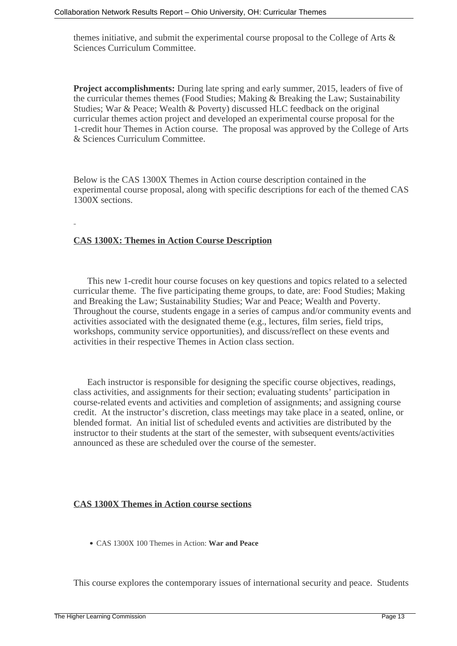themes initiative, and submit the experimental course proposal to the College of Arts & Sciences Curriculum Committee.

**Project accomplishments:** During late spring and early summer, 2015, leaders of five of the curricular themes themes (Food Studies; Making & Breaking the Law; Sustainability Studies; War & Peace; Wealth & Poverty) discussed HLC feedback on the original curricular themes action project and developed an experimental course proposal for the 1-credit hour Themes in Action course. The proposal was approved by the College of Arts & Sciences Curriculum Committee.

Below is the CAS 1300X Themes in Action course description contained in the experimental course proposal, along with specific descriptions for each of the themed CAS 1300X sections.

# **CAS 1300X: Themes in Action Course Description**

 This new 1-credit hour course focuses on key questions and topics related to a selected curricular theme. The five participating theme groups, to date, are: Food Studies; Making and Breaking the Law; Sustainability Studies; War and Peace; Wealth and Poverty. Throughout the course, students engage in a series of campus and/or community events and activities associated with the designated theme (e.g., lectures, film series, field trips, workshops, community service opportunities), and discuss/reflect on these events and activities in their respective Themes in Action class section.

 Each instructor is responsible for designing the specific course objectives, readings, class activities, and assignments for their section; evaluating students' participation in course-related events and activities and completion of assignments; and assigning course credit. At the instructor's discretion, class meetings may take place in a seated, online, or blended format. An initial list of scheduled events and activities are distributed by the instructor to their students at the start of the semester, with subsequent events/activities announced as these are scheduled over the course of the semester.

### **CAS 1300X Themes in Action course sections**

CAS 1300X 100 Themes in Action: **War and Peace** 

This course explores the contemporary issues of international security and peace. Students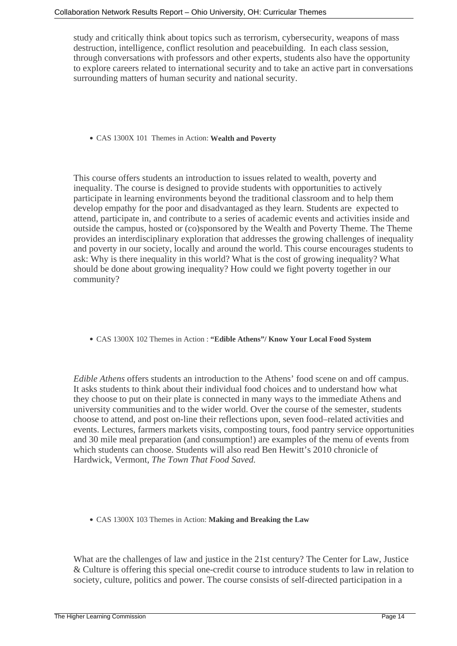study and critically think about topics such as terrorism, cybersecurity, weapons of mass destruction, intelligence, conflict resolution and peacebuilding. In each class session, through conversations with professors and other experts, students also have the opportunity to explore careers related to international security and to take an active part in conversations surrounding matters of human security and national security.

CAS 1300X 101 Themes in Action: **Wealth and Poverty**

This course offers students an introduction to issues related to wealth, poverty and inequality. The course is designed to provide students with opportunities to actively participate in learning environments beyond the traditional classroom and to help them develop empathy for the poor and disadvantaged as they learn. Students are expected to attend, participate in, and contribute to a series of academic events and activities inside and outside the campus, hosted or (co)sponsored by the Wealth and Poverty Theme. The Theme provides an interdisciplinary exploration that addresses the growing challenges of inequality and poverty in our society, locally and around the world. This course encourages students to ask: Why is there inequality in this world? What is the cost of growing inequality? What should be done about growing inequality? How could we fight poverty together in our community?

CAS 1300X 102 Themes in Action : **"Edible Athens"/ Know Your Local Food System**

*Edible Athens* offers students an introduction to the Athens' food scene on and off campus. It asks students to think about their individual food choices and to understand how what they choose to put on their plate is connected in many ways to the immediate Athens and university communities and to the wider world. Over the course of the semester, students choose to attend, and post on-line their reflections upon, seven food–related activities and events. Lectures, farmers markets visits, composting tours, food pantry service opportunities and 30 mile meal preparation (and consumption!) are examples of the menu of events from which students can choose. Students will also read Ben Hewitt's 2010 chronicle of Hardwick, Vermont, *The Town That Food Saved.* 

CAS 1300X 103 Themes in Action: **Making and Breaking the Law**

What are the challenges of law and justice in the 21st century? The Center for Law, Justice & Culture is offering this special one-credit course to introduce students to law in relation to society, culture, politics and power. The course consists of self-directed participation in a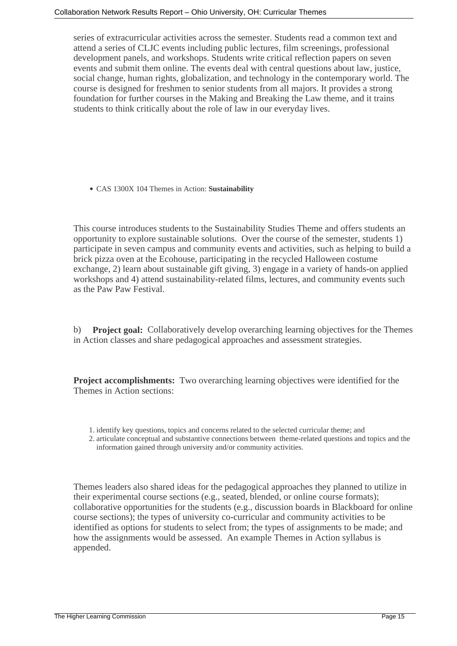series of extracurricular activities across the semester. Students read a common text and attend a series of CLJC events including public lectures, film screenings, professional development panels, and workshops. Students write critical reflection papers on seven events and submit them online. The events deal with central questions about law, justice, social change, human rights, globalization, and technology in the contemporary world. The course is designed for freshmen to senior students from all majors. It provides a strong foundation for further courses in the Making and Breaking the Law theme, and it trains students to think critically about the role of law in our everyday lives.

CAS 1300X 104 Themes in Action: **Sustainability**

This course introduces students to the Sustainability Studies Theme and offers students an opportunity to explore sustainable solutions. Over the course of the semester, students 1) participate in seven campus and community events and activities, such as helping to build a brick pizza oven at the Ecohouse, participating in the recycled Halloween costume exchange, 2) learn about sustainable gift giving, 3) engage in a variety of hands-on applied workshops and 4) attend sustainability-related films, lectures, and community events such as the Paw Paw Festival.

b) **Project goal:** Collaboratively develop overarching learning objectives for the Themes in Action classes and share pedagogical approaches and assessment strategies.

**Project accomplishments:** Two overarching learning objectives were identified for the Themes in Action sections:

- 1. identify key questions, topics and concerns related to the selected curricular theme; and
- 2. articulate conceptual and substantive connections between theme-related questions and topics and the information gained through university and/or community activities.

Themes leaders also shared ideas for the pedagogical approaches they planned to utilize in their experimental course sections (e.g., seated, blended, or online course formats); collaborative opportunities for the students (e.g., discussion boards in Blackboard for online course sections); the types of university co-curricular and community activities to be identified as options for students to select from; the types of assignments to be made; and how the assignments would be assessed. An example Themes in Action syllabus is appended.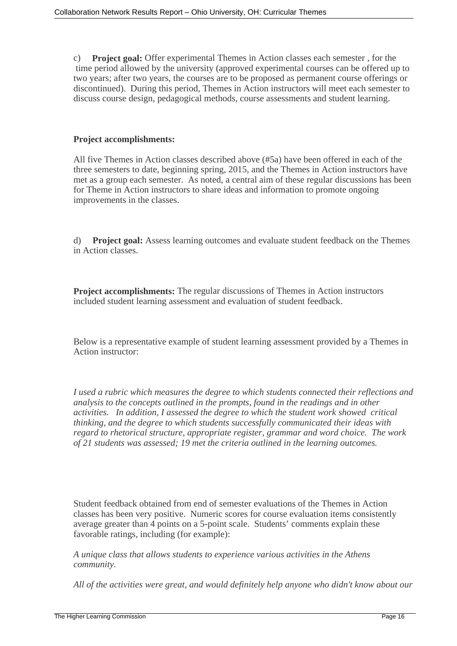c) **Project goal:** Offer experimental Themes in Action classes each semester , for the time period allowed by the university (approved experimental courses can be offered up to two years; after two years, the courses are to be proposed as permanent course offerings or discontinued). During this period, Themes in Action instructors will meet each semester to discuss course design, pedagogical methods, course assessments and student learning.

# **Project accomplishments:**

All five Themes in Action classes described above (#5a) have been offered in each of the three semesters to date, beginning spring, 2015, and the Themes in Action instructors have met as a group each semester. As noted, a central aim of these regular discussions has been for Theme in Action instructors to share ideas and information to promote ongoing improvements in the classes.

d) **Project goal:** Assess learning outcomes and evaluate student feedback on the Themes in Action classes.

**Project accomplishments:** The regular discussions of Themes in Action instructors included student learning assessment and evaluation of student feedback.

Below is a representative example of student learning assessment provided by a Themes in Action instructor:

*I used a rubric which measures the degree to which students connected their reflections and analysis to the concepts outlined in the prompts, found in the readings and in other activities. In addition, I assessed the degree to which the student work showed critical thinking, and the degree to which students successfully communicated their ideas with regard to rhetorical structure, appropriate register, grammar and word choice. The work of 21 students was assessed; 19 met the criteria outlined in the learning outcomes.* 

Student feedback obtained from end of semester evaluations of the Themes in Action classes has been very positive. Numeric scores for course evaluation items consistently average greater than 4 points on a 5-point scale. Students' comments explain these favorable ratings, including (for example):

*A unique class that allows students to experience various activities in the Athens community.*

*All of the activities were great, and would definitely help anyone who didn't know about our*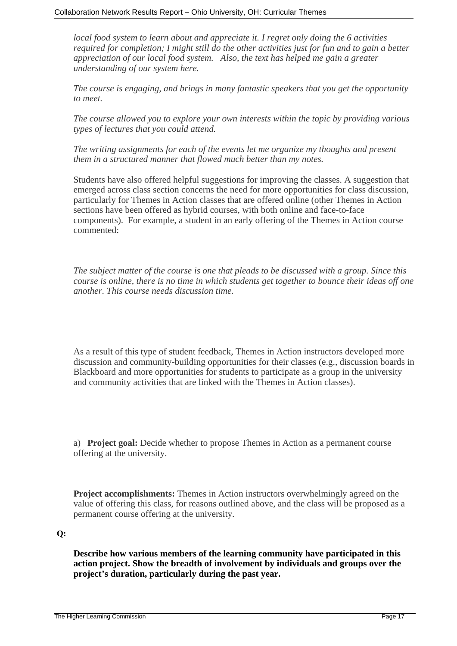*local food system to learn about and appreciate it. I regret only doing the 6 activities required for completion; I might still do the other activities just for fun and to gain a better appreciation of our local food system. Also, the text has helped me gain a greater understanding of our system here.*

*The course is engaging, and brings in many fantastic speakers that you get the opportunity to meet.*

*The course allowed you to explore your own interests within the topic by providing various types of lectures that you could attend.*

*The writing assignments for each of the events let me organize my thoughts and present them in a structured manner that flowed much better than my notes.*

Students have also offered helpful suggestions for improving the classes. A suggestion that emerged across class section concerns the need for more opportunities for class discussion, particularly for Themes in Action classes that are offered online (other Themes in Action sections have been offered as hybrid courses, with both online and face-to-face components). For example, a student in an early offering of the Themes in Action course commented:

*The subject matter of the course is one that pleads to be discussed with a group. Since this course is online, there is no time in which students get together to bounce their ideas off one another. This course needs discussion time.*

As a result of this type of student feedback, Themes in Action instructors developed more discussion and community-building opportunities for their classes (e.g., discussion boards in Blackboard and more opportunities for students to participate as a group in the university and community activities that are linked with the Themes in Action classes).

a) **Project goal:** Decide whether to propose Themes in Action as a permanent course offering at the university.

**Project accomplishments:** Themes in Action instructors overwhelmingly agreed on the value of offering this class, for reasons outlined above, and the class will be proposed as a permanent course offering at the university.

### **Q:**

**Describe how various members of the learning community have participated in this action project. Show the breadth of involvement by individuals and groups over the project's duration, particularly during the past year.**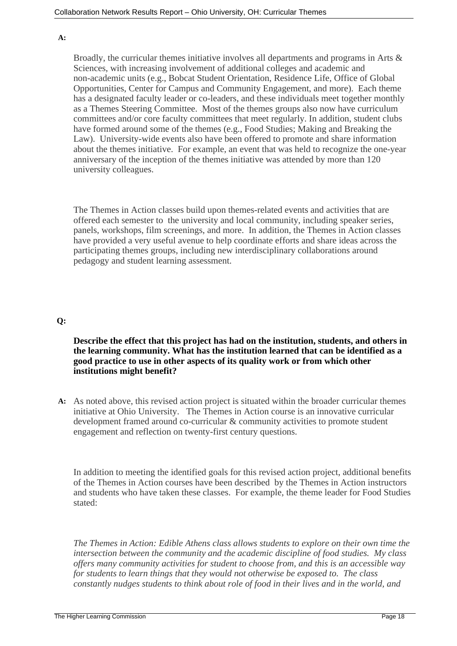#### **A:**

Broadly, the curricular themes initiative involves all departments and programs in Arts & Sciences, with increasing involvement of additional colleges and academic and non-academic units (e.g., Bobcat Student Orientation, Residence Life, Office of Global Opportunities, Center for Campus and Community Engagement, and more). Each theme has a designated faculty leader or co-leaders, and these individuals meet together monthly as a Themes Steering Committee. Most of the themes groups also now have curriculum committees and/or core faculty committees that meet regularly. In addition, student clubs have formed around some of the themes (e.g., Food Studies; Making and Breaking the Law). University-wide events also have been offered to promote and share information about the themes initiative. For example, an event that was held to recognize the one-year anniversary of the inception of the themes initiative was attended by more than 120 university colleagues.

The Themes in Action classes build upon themes-related events and activities that are offered each semester to the university and local community, including speaker series, panels, workshops, film screenings, and more. In addition, the Themes in Action classes have provided a very useful avenue to help coordinate efforts and share ideas across the participating themes groups, including new interdisciplinary collaborations around pedagogy and student learning assessment.

#### **Q:**

## **Describe the effect that this project has had on the institution, students, and others in the learning community. What has the institution learned that can be identified as a good practice to use in other aspects of its quality work or from which other institutions might benefit?**

**A:** As noted above, this revised action project is situated within the broader curricular themes initiative at Ohio University. The Themes in Action course is an innovative curricular development framed around co-curricular & community activities to promote student engagement and reflection on twenty-first century questions.

In addition to meeting the identified goals for this revised action project, additional benefits of the Themes in Action courses have been described by the Themes in Action instructors and students who have taken these classes. For example, the theme leader for Food Studies stated:

*The Themes in Action: Edible Athens class allows students to explore on their own time the intersection between the community and the academic discipline of food studies. My class offers many community activities for student to choose from, and this is an accessible way for students to learn things that they would not otherwise be exposed to. The class constantly nudges students to think about role of food in their lives and in the world, and*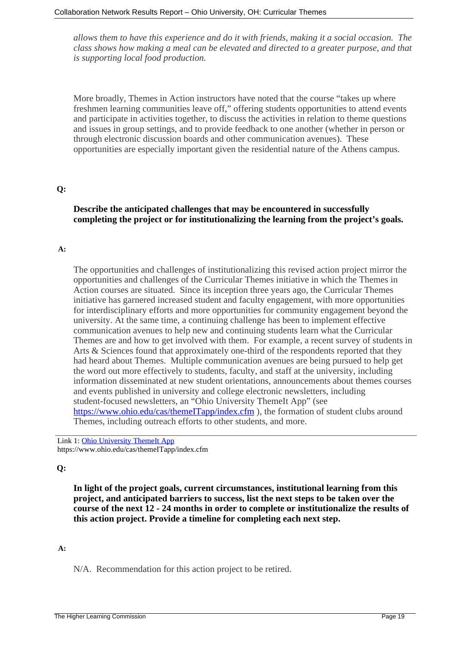*allows them to have this experience and do it with friends, making it a social occasion. The class shows how making a meal can be elevated and directed to a greater purpose, and that is supporting local food production.*

More broadly, Themes in Action instructors have noted that the course "takes up where freshmen learning communities leave off," offering students opportunities to attend events and participate in activities together, to discuss the activities in relation to theme questions and issues in group settings, and to provide feedback to one another (whether in person or through electronic discussion boards and other communication avenues). These opportunities are especially important given the residential nature of the Athens campus.

### **Q:**

# **Describe the anticipated challenges that may be encountered in successfully completing the project or for institutionalizing the learning from the project's goals.**

#### **A:**

The opportunities and challenges of institutionalizing this revised action project mirror the opportunities and challenges of the Curricular Themes initiative in which the Themes in Action courses are situated. Since its inception three years ago, the Curricular Themes initiative has garnered increased student and faculty engagement, with more opportunities for interdisciplinary efforts and more opportunities for community engagement beyond the university. At the same time, a continuing challenge has been to implement effective communication avenues to help new and continuing students learn what the Curricular Themes are and how to get involved with them. For example, a recent survey of students in Arts & Sciences found that approximately one-third of the respondents reported that they had heard about Themes. Multiple communication avenues are being pursued to help get the word out more effectively to students, faculty, and staff at the university, including information disseminated at new student orientations, announcements about themes courses and events published in university and college electronic newsletters, including student-focused newsletters, an "Ohio University ThemeIt App" (see <https://www.ohio.edu/cas/themeITapp/index.cfm> ), the formation of student clubs around Themes, including outreach efforts to other students, and more.

Link 1: [Ohio University ThemeIt App]( https://www.ohio.edu/cas/themeITapp/index.cfm) https://www.ohio.edu/cas/themeITapp/index.cfm

# **Q:**

**In light of the project goals, current circumstances, institutional learning from this project, and anticipated barriers to success, list the next steps to be taken over the course of the next 12 - 24 months in order to complete or institutionalize the results of this action project. Provide a timeline for completing each next step.**

### **A:**

N/A. Recommendation for this action project to be retired.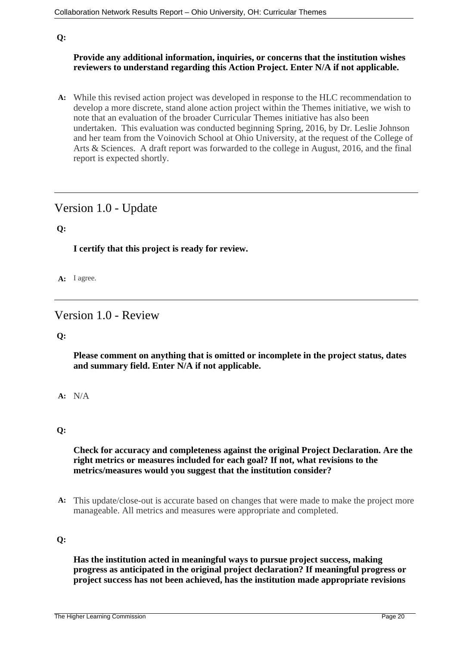# **Q:**

# **Provide any additional information, inquiries, or concerns that the institution wishes reviewers to understand regarding this Action Project. Enter N/A if not applicable.**

**A:** While this revised action project was developed in response to the HLC recommendation to develop a more discrete, stand alone action project within the Themes initiative, we wish to note that an evaluation of the broader Curricular Themes initiative has also been undertaken. This evaluation was conducted beginning Spring, 2016, by Dr. Leslie Johnson and her team from the Voinovich School at Ohio University, at the request of the College of Arts & Sciences. A draft report was forwarded to the college in August, 2016, and the final report is expected shortly.

# Version 1.0 - Update

# **Q:**

**I certify that this project is ready for review.**

**A:** I agree.

# Version 1.0 - Review

### **Q:**

**Please comment on anything that is omitted or incomplete in the project status, dates and summary field. Enter N/A if not applicable.**

**A:** N/A

### **Q:**

# **Check for accuracy and completeness against the original Project Declaration. Are the right metrics or measures included for each goal? If not, what revisions to the metrics/measures would you suggest that the institution consider?**

**A:** This update/close-out is accurate based on changes that were made to make the project more manageable. All metrics and measures were appropriate and completed.

# **Q:**

**Has the institution acted in meaningful ways to pursue project success, making progress as anticipated in the original project declaration? If meaningful progress or project success has not been achieved, has the institution made appropriate revisions**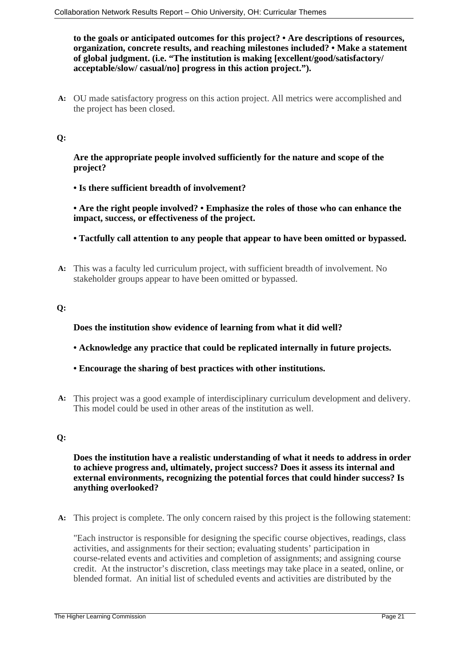**to the goals or anticipated outcomes for this project? • Are descriptions of resources, organization, concrete results, and reaching milestones included? • Make a statement of global judgment. (i.e. "The institution is making [excellent/good/satisfactory/ acceptable/slow/ casual/no] progress in this action project.").**

**A:** OU made satisfactory progress on this action project. All metrics were accomplished and the project has been closed.

# **Q:**

**Are the appropriate people involved sufficiently for the nature and scope of the project?**

**• Is there sufficient breadth of involvement?**

**• Are the right people involved? • Emphasize the roles of those who can enhance the impact, success, or effectiveness of the project.**

- **Tactfully call attention to any people that appear to have been omitted or bypassed.**
- **A:** This was a faculty led curriculum project, with sufficient breadth of involvement. No stakeholder groups appear to have been omitted or bypassed.

# **Q:**

**Does the institution show evidence of learning from what it did well?**

- **Acknowledge any practice that could be replicated internally in future projects.**
- **Encourage the sharing of best practices with other institutions.**
- **A:** This project was a good example of interdisciplinary curriculum development and delivery. This model could be used in other areas of the institution as well.

### **Q:**

**Does the institution have a realistic understanding of what it needs to address in order to achieve progress and, ultimately, project success? Does it assess its internal and external environments, recognizing the potential forces that could hinder success? Is anything overlooked?**

**A:** This project is complete. The only concern raised by this project is the following statement:

"Each instructor is responsible for designing the specific course objectives, readings, class activities, and assignments for their section; evaluating students' participation in course-related events and activities and completion of assignments; and assigning course credit. At the instructor's discretion, class meetings may take place in a seated, online, or blended format. An initial list of scheduled events and activities are distributed by the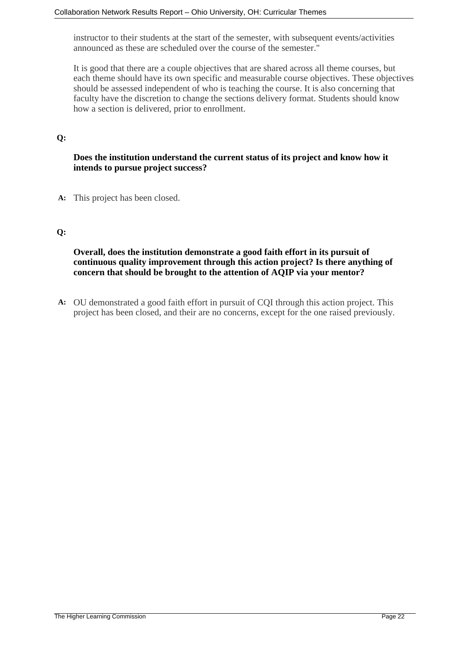instructor to their students at the start of the semester, with subsequent events/activities announced as these are scheduled over the course of the semester."

It is good that there are a couple objectives that are shared across all theme courses, but each theme should have its own specific and measurable course objectives. These objectives should be assessed independent of who is teaching the course. It is also concerning that faculty have the discretion to change the sections delivery format. Students should know how a section is delivered, prior to enrollment.

# **Q:**

# **Does the institution understand the current status of its project and know how it intends to pursue project success?**

**A:** This project has been closed.

### **Q:**

**Overall, does the institution demonstrate a good faith effort in its pursuit of continuous quality improvement through this action project? Is there anything of concern that should be brought to the attention of AQIP via your mentor?**

**A:** OU demonstrated a good faith effort in pursuit of CQI through this action project. This project has been closed, and their are no concerns, except for the one raised previously.